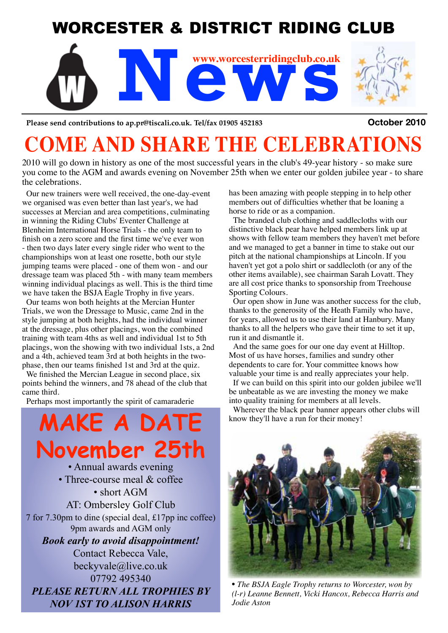## WORCESTER & DISTRICT RIDING CLUB



Please send contributions to ap.pr@tiscali.co.uk. Tel/fax 01905 452183 **COLOMET 2010** 

# **COME AND SHARE THE CELEBRATIONS**

2010 will go down in history as one of the most successful years in the club's 49-year history - so make sure you come to the AGM and awards evening on November 25th when we enter our golden jubilee year - to share the celebrations.

Our new trainers were well received, the one-day-event we organised was even better than last year's, we had successes at Mercian and area competitions, culminating in winning the Riding Clubs' Eventer Challenge at Blenheim International Horse Trials - the only team to finish on a zero score and the first time we've ever won - then two days later every single rider who went to the championships won at least one rosette, both our style jumping teams were placed - one of them won - and our dressage team was placed 5th - with many team members winning individual placings as well. This is the third time we have taken the BSJA Eagle Trophy in five years.

Our teams won both heights at the Mercian Hunter Trials, we won the Dressage to Music, came 2nd in the style jumping at both heights, had the individual winner at the dressage, plus other placings, won the combined training with team 4ths as well and individual 1st to 5th placings, won the showing with two individual 1sts, a 2nd and a 4th, achieved team 3rd at both heights in the twophase, then our teams finished 1st and 3rd at the quiz.

We finished the Mercian League in second place, six points behind the winners, and 78 ahead of the club that came third.

Perhaps most importantly the spirit of camaraderie

**MAKE A DAT November 25th** • Annual awards evening • Three-course meal & coffee • short AGM AT: Ombersley Golf Club 7 for 7.30pm to dine (special deal, £17pp inc coffee) 9pm awards and AGM only *Book early to avoid disappointment!* Contact Rebecca Vale, beckyvale@live.co.uk 07792 495340 *PLEASE RETURN ALL TROPHIES BY NOV 1ST TO ALISON HARRIS*

has been amazing with people stepping in to help other members out of difficulties whether that be loaning a horse to ride or as a companion.

The branded club clothing and saddlecloths with our distinctive black pear have helped members link up at shows with fellow team members they haven't met before and we managed to get a banner in time to stake out our pitch at the national championships at Lincoln. If you haven't yet got a polo shirt or saddlecloth (or any of the other items available), see chairman Sarah Lovatt. They are all cost price thanks to sponsorship from Treehouse Sporting Colours.

Our open show in June was another success for the club, thanks to the generosity of the Heath Family who have, for years, allowed us to use their land at Hanbury. Many thanks to all the helpers who gave their time to set it up, run it and dismantle it.

And the same goes for our one day event at Hilltop. Most of us have horses, families and sundry other dependents to care for. Your committee knows how valuable your time is and really appreciates your help.

If we can build on this spirit into our golden jubilee we'll be unbeatable as we are investing the money we make into quality training for members at all levels.

Wherever the black pear banner appears other clubs will know they'll have a run for their money!



• *The BSJA Eagle Trophy returns to Worcester, won by (l-r) Leanne Bennett, Vicki Hancox, Rebecca Harris and Jodie Aston*